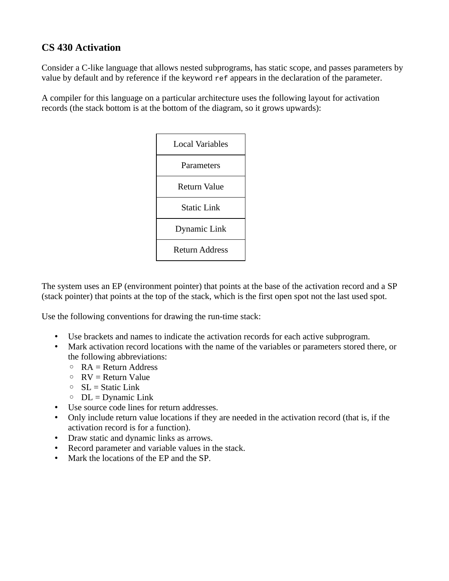## **CS 430 Activation**

Consider a C-like language that allows nested subprograms, has static scope, and passes parameters by value by default and by reference if the keyword ref appears in the declaration of the parameter.

A compiler for this language on a particular architecture uses the following layout for activation records (the stack bottom is at the bottom of the diagram, so it grows upwards):



The system uses an EP (environment pointer) that points at the base of the activation record and a SP (stack pointer) that points at the top of the stack, which is the first open spot not the last used spot.

Use the following conventions for drawing the run-time stack:

- Use brackets and names to indicate the activation records for each active subprogram.
- Mark activation record locations with the name of the variables or parameters stored there, or the following abbreviations:
	- RA = Return Address
	- RV = Return Value
	- SL = Static Link
	- $\circ$  DL = Dynamic Link
- Use source code lines for return addresses.
- Only include return value locations if they are needed in the activation record (that is, if the activation record is for a function).
- Draw static and dynamic links as arrows.
- Record parameter and variable values in the stack.
- Mark the locations of the EP and the SP.